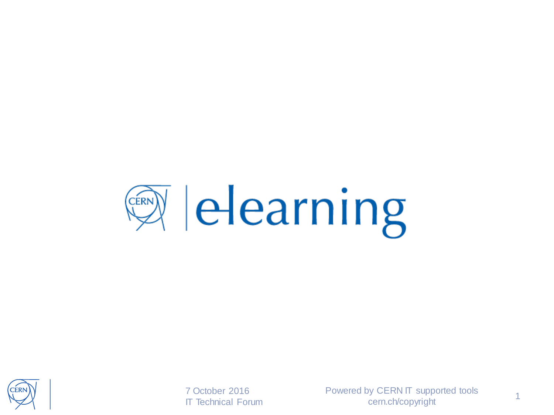



7 October 2016

Powered by CERN IT supported tools T Technical Forum 1 Concrete by OETINTH Supported tools 1<br>
T Technical Forum 1 Correct computation of the 1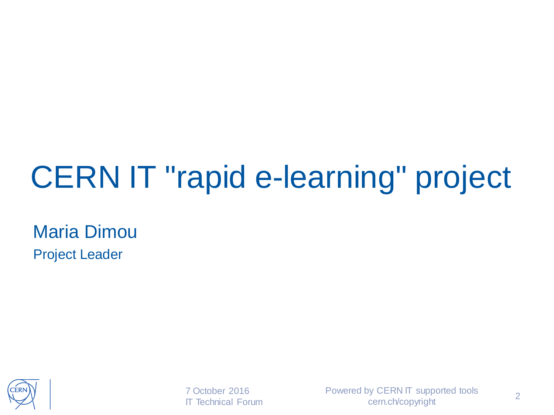#### CERN IT "rapid e-learning" project

Maria Dimou Project Leader



7 October 2016 IT Technical Forum Powered by CERN IT supported tools cern.ch/copyright 2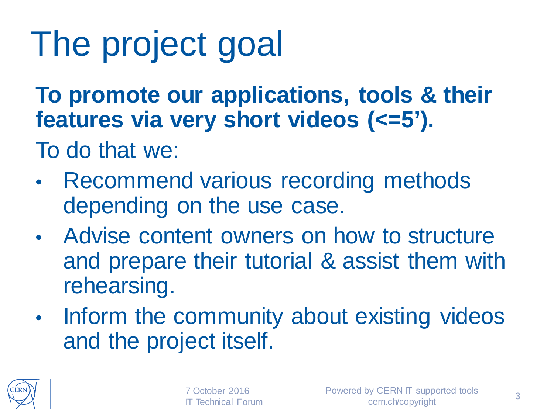## The project goal

**To promote our applications, tools & their features via very short videos (<=5').**

To do that we:

- Recommend various recording methods depending on the use case.
- Advise content owners on how to structure and prepare their tutorial & assist them with rehearsing.
- Inform the community about existing videos and the project itself.

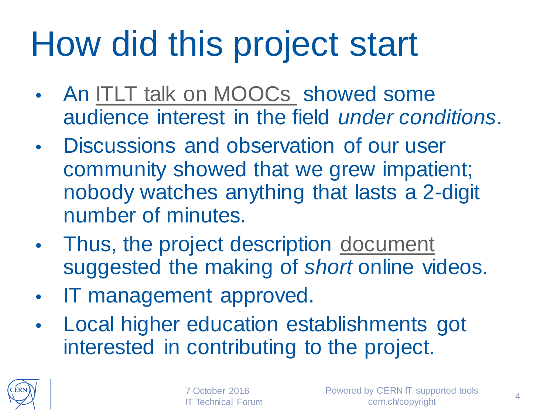## How did this project start

- An [ITLT talk on MOOCs](https://indico.cern.ch/e/ITLT-7) showed some audience interest in the field *under conditions*.
- Discussions and observation of our user community showed that we grew impatient; nobody watches anything that lasts a 2-digit number of minutes.
- Thus, the project description [document](http://it-student-projects.web.cern.ch/projects/e-learning-modules)  suggested the making of *short* online videos.
- IT management approved.
- Local higher education establishments got interested in contributing to the project.



7 October 2016 **Technical Forum**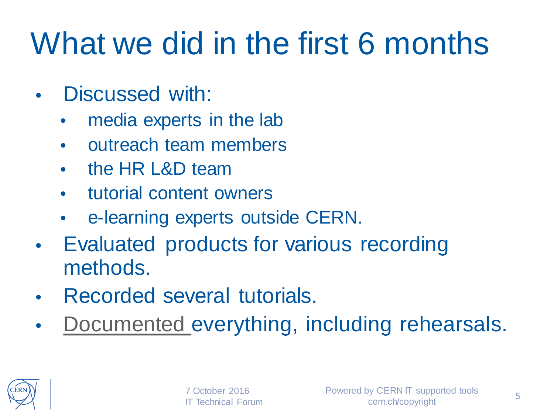#### What we did in the first 6 months

- Discussed with:
	- media experts in the lab
	- outreach team members
	- the HR L&D team
	- tutorial content owners
	- e-learning experts outside CERN.
- Evaluated products for various recording methods.
- Recorded several tutorials.
- [Documented e](http://twiki.cern.ch/ELearning)verything, including rehearsals.

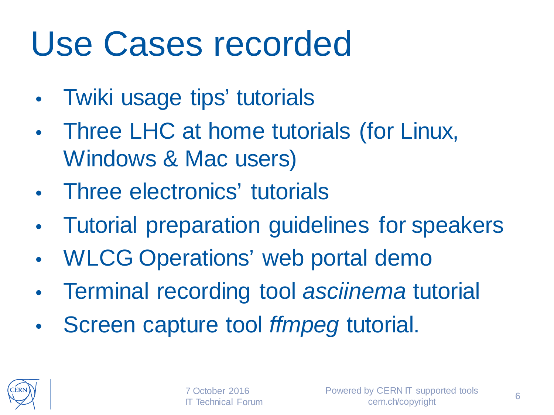#### Use Cases recorded

- Twiki usage tips' tutorials
- Three LHC at home tutorials (for Linux, Windows & Mac users)
- Three electronics' tutorials
- Tutorial preparation guidelines for speakers
- WLCG Operations' web portal demo
- Terminal recording tool *asciinema* tutorial
- Screen capture tool *ffmpeg* tutorial.

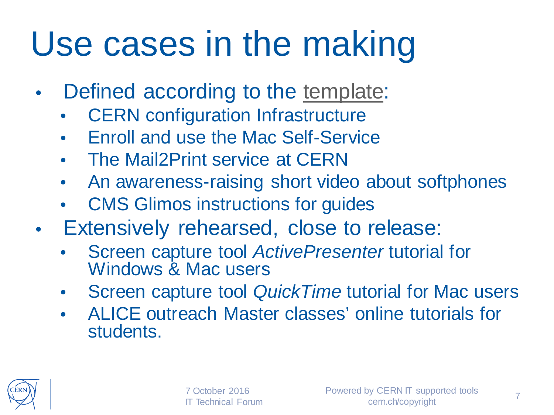### Use cases in the making

- Defined according to the [template:](https://twiki.cern.ch/ELearning#Template_to_describe_a_Use_Case)
	- **CERN** configuration Infrastructure
	- Enroll and use the Mac Self-Service
	- The Mail2Print service at CERN
	- An awareness-raising short video about softphones
	- CMS Glimos instructions for guides
- Extensively rehearsed, close to release:
	- Screen capture tool *ActivePresenter* tutorial for Windows & Mac users
	- Screen capture tool *QuickTime* tutorial for Mac users
	- ALICE outreach Master classes' online tutorials for students.

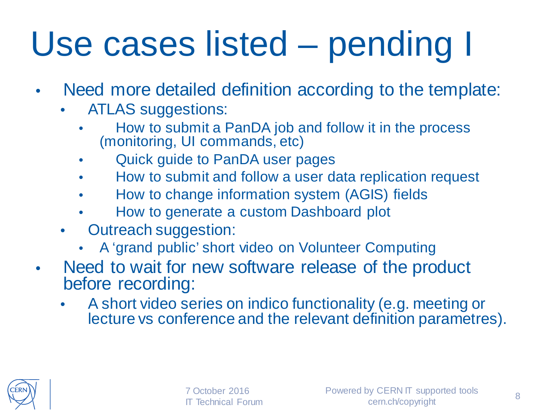## Use cases listed – pending I

- Need more detailed definition according to the template:
	- ATLAS suggestions:
		- How to submit a PanDA job and follow it in the process (monitoring, UI commands, etc)
		- Quick guide to PanDA user pages
		- How to submit and follow a user data replication request
		- How to change information system (AGIS) fields
		- How to generate a custom Dashboard plot
	- Outreach suggestion:
		- A 'grand public' short video on Volunteer Computing
- Need to wait for new software release of the product before recording:
	- A short video series on indico functionality (e.g. meeting or lecture vs conference and the relevant definition parametres).

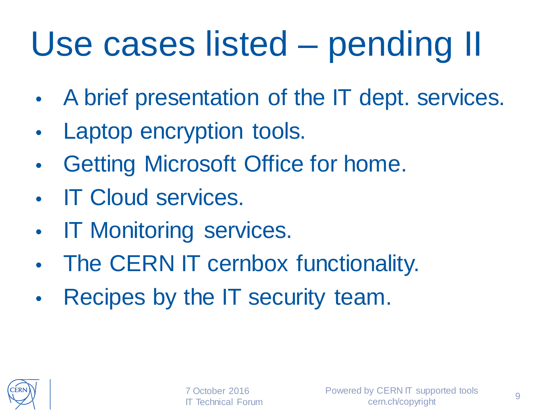## Use cases listed – pending II

- A brief presentation of the IT dept. services.
- Laptop encryption tools.
- Getting Microsoft Office for home.
- **IT Cloud services.**
- **IT Monitoring services.**
- The CERN IT cernbox functionality.
- Recipes by the IT security team.

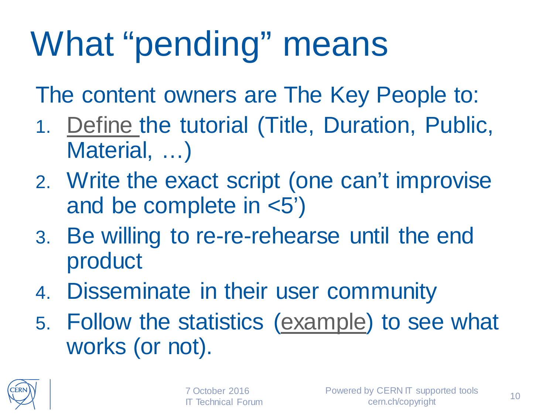## What "pending" means

The content owners are The Key People to:

- 1. [Define t](https://twiki.cern.ch/ELearning#Template_to_describe_a_Use_Case)he tutorial (Title, Duration, Public, Material, …)
- 2. Write the exact script (one can't improvise and be complete in <5')
- 3. Be willing to re-re-rehearse until the end product
- 4. Disseminate in their user community
- 5. Follow the statistics [\(example\)](https://twiki.cern.ch/Edutech/WebStatistics) to see what works (or not).

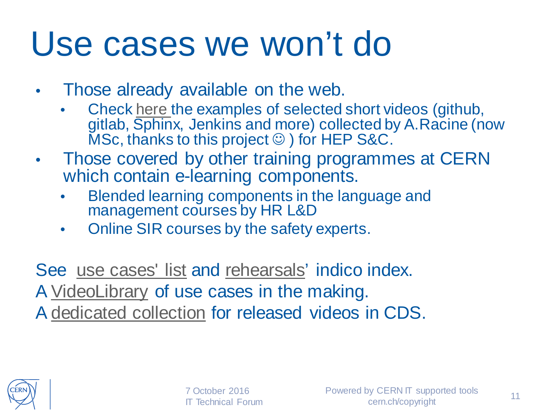#### Use cases we won't do

- Those already available on the web.
	- Check [here t](https://twiki.cern.ch/Edutech/HEPsoftwareANDcomputing)he examples of selected short videos (github, gitlab, Sphinx, Jenkins and more) collected by A.Racine (now  $MSc$ , thanks to this project  $\odot$  ) for HEP S&C.
- Those covered by other training programmes at CERN which contain e-learning components.
	- Blended learning components in the language and management courses by HR L&D
	- Online SIR courses by the safety experts.

See [use cases' list](https://twiki.cern.ch/ELearning#Use_cases) and [rehearsals'](https://indico.cern.ch/category/7442/) indico index. A [VideoLibrary](https://twiki.cern.ch/Edutech) of use cases in the making. A [dedicated collection](http://cds.cern.ch/collection/E-learning%20modules?ln=en) for released videos in CDS.



7 October 2016 IT Technical Forum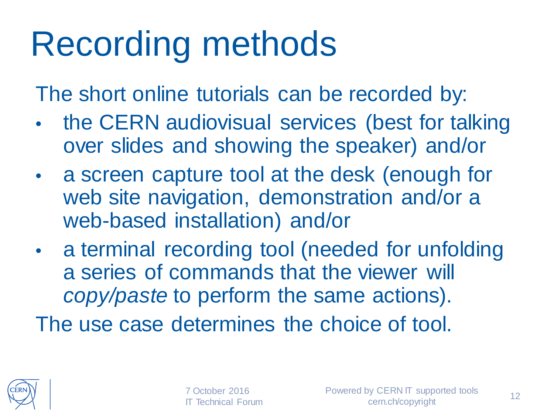### Recording methods

The short online tutorials can be recorded by:

- the CERN audiovisual services (best for talking over slides and showing the speaker) and/or
- a screen capture tool at the desk (enough for web site navigation, demonstration and/or a web-based installation) and/or
- a terminal recording tool (needed for unfolding a series of commands that the viewer will *copy/paste* to perform the same actions).

The use case determines the choice of tool.

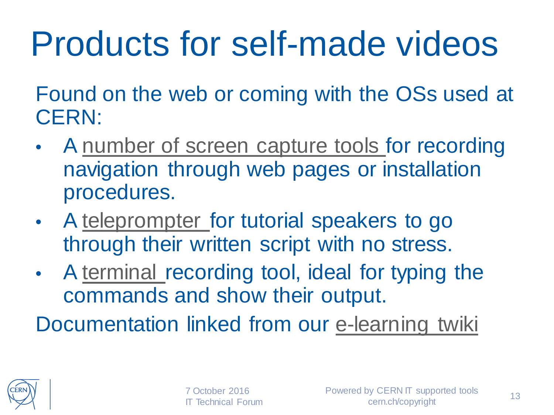## Products for self-made videos

Found on the web or coming with the OSs used at CERN:

- A [number of screen capture tools f](https://twiki.cern.ch/twiki/pub/ELearning/WebHome/screen_capture_tools.pdf)or recording navigation through web pages or installation procedures.
- A [teleprompter f](http://mirrorscript.com/)or tutorial speakers to go through their written script with no stress.
- A [terminal](https://twiki.cern.ch/Edutech/AsciinemaInstructions) recording tool, ideal for typing the commands and show their output.

Documentation linked from our [e-learning twiki](https://twiki.cern.ch/ELearning#Utilities)

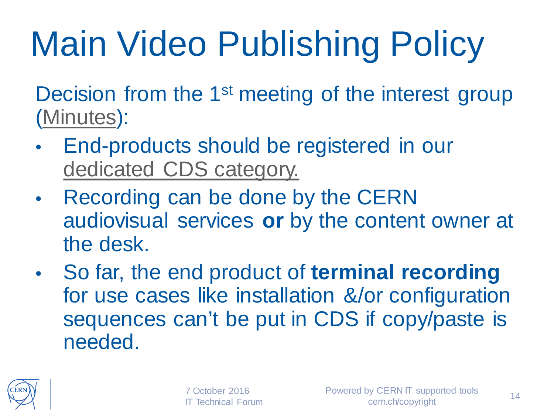# Main Video Publishing Policy

Decision from the 1<sup>st</sup> meeting of the interest group [\(Minutes\)](https://indico.cern.ch/event/558706/):

- End-products should be registered in our [dedicated CDS category.](http://cds.cern.ch/collection/E-learning%20modules?ln=en)
- Recording can be done by the CERN audiovisual services **or** by the content owner at the desk.
- So far, the end product of **terminal recording**  for use cases like installation &/or configuration sequences can't be put in CDS if copy/paste is needed.

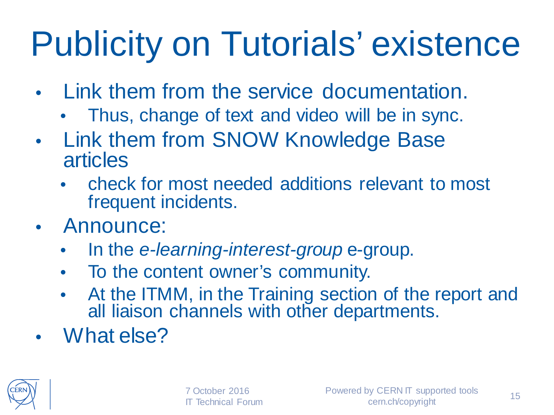## Publicity on Tutorials' existence

- Link them from the service documentation.
	- Thus, change of text and video will be in sync.
- Link them from SNOW Knowledge Base articles
	- check for most needed additions relevant to most frequent incidents.
- Announce:
	- In the *e-learning-interest-group* e-group.
	- To the content owner's community.
	- At the ITMM, in the Training section of the report and all liaison channels with other departments.
- What else?

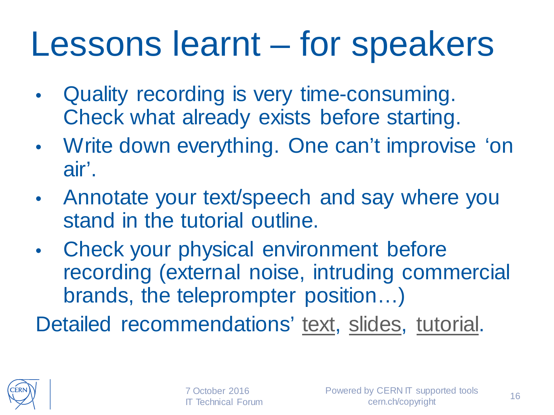#### Lessons learnt – for speakers

- Quality recording is very time-consuming. Check what already exists before starting.
- Write down everything. One can't improvise 'on air'.
- Annotate your text/speech and say where you stand in the tutorial outline.
- Check your physical environment before recording (external noise, intruding commercial brands, the teleprompter position…)

Detailed recommendations' [text,](https://twiki.cern.ch/ELearning#Points_for_speakers_preparation) [slides,](https://indico.cern.ch/event/558702/attachments/1316564/1972363/short-online-tutorials-points-4-speakers.pdf) [tutorial](https://cds.cern.ch/record/2202153).

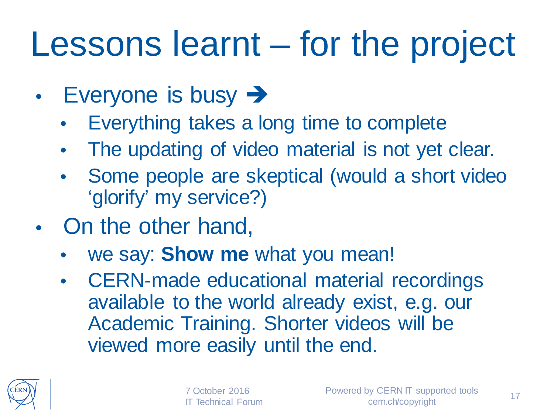### Lessons learnt – for the project

- Everyone is busy  $\rightarrow$ 
	- Everything takes a long time to complete
	- The updating of video material is not yet clear.
	- Some people are skeptical (would a short video 'glorify' my service?)
- On the other hand,
	- we say: **Show me** what you mean!
	- CERN-made educational material recordings available to the world already exist, e.g. our Academic Training. Shorter videos will be viewed more easily until the end.



7 October 2016 **Technical Forum**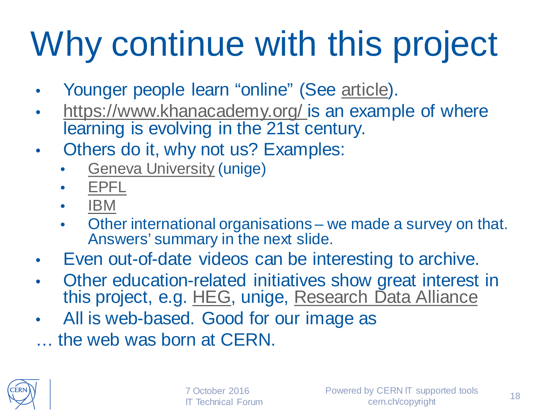# Why continue with this project

- Younger people learn "online" (See [article\)](http://www.telegraph.co.uk/education/further-education/11898224/Generation-YouTube-the-young-people-turning-to-the-internet-for-careers-advice.html).
- [https://www.khanacademy.org/ i](https://www.khanacademy.org/)s an example of where learning is evolving in the 21st century.
- Others do it, why not us? Examples:
	- **[Geneva University](http://elearning.unige.ch/) (unige)**
	- [EPFL](http://moocs.epfl.ch/oer)
	- [IBM](https://www-01.ibm.com/software/analytics/training-and-certification/elearning_training.html)
	- Other international organisations we made a survey on that. Answers' summary in the next slide.
- Even out-of-date videos can be interesting to archive.
- Other education[-relate](https://www.hesge.ch/heg/)d initia[tives show great interest](https://www.rd-alliance.org/) in this project, e.g. [HEG,](https://www.hesge.ch/heg/) unige, [Research Data Alliance](https://www.rd-alliance.org/)
- All is web-based. Good for our image as
- … the web was born at CERN.

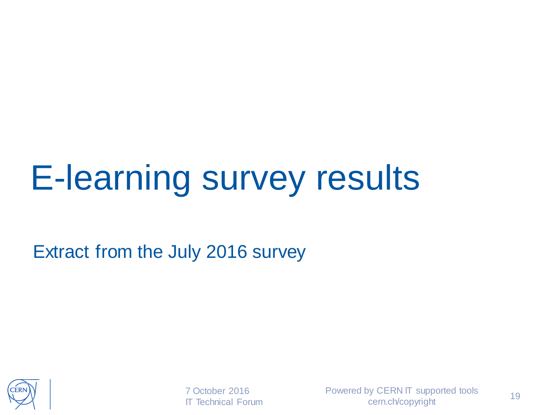### E-learning survey results

Extract from the July 2016 survey



7 October 2016 IT Technical Forum Powered by CERN IT supported tools cern.ch/copyright 19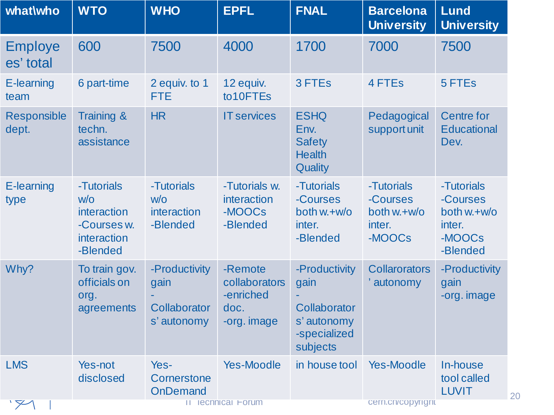| what\who                    | <b>WTO</b>                                                                 | <b>WHO</b>                                           | <b>EPFL</b>                                                  | <b>FNAL</b>                                                                      | <b>Barcelona</b><br><b>University</b>                     | <b>Lund</b><br><b>University</b>                                        |
|-----------------------------|----------------------------------------------------------------------------|------------------------------------------------------|--------------------------------------------------------------|----------------------------------------------------------------------------------|-----------------------------------------------------------|-------------------------------------------------------------------------|
| <b>Employe</b><br>es' total | 600                                                                        | 7500                                                 | 4000                                                         | 1700                                                                             | 7000                                                      | 7500                                                                    |
| <b>E-learning</b><br>team   | 6 part-time                                                                | 2 equiv. to 1<br><b>FTE</b>                          | 12 equiv.<br>to10FTEs                                        | 3 FTEs                                                                           | 4 FTEs                                                    | 5 FTEs                                                                  |
| <b>Responsible</b><br>dept. | <b>Training &amp;</b><br>techn.<br>assistance                              | HR                                                   | <b>IT services</b>                                           | <b>ESHQ</b><br>Env.<br><b>Safety</b><br><b>Health</b><br>Quality                 | Pedagogical<br>support unit                               | <b>Centre for</b><br><b>Educational</b><br>Dev.                         |
| E-learning<br>type          | -Tutorials<br>W/O<br>interaction<br>-Courses w.<br>interaction<br>-Blended | -Tutorials<br>W/O<br>interaction<br>-Blended         | -Tutorials w.<br>interaction<br>-MOOCs<br>-Blended           | -Tutorials<br>-Courses<br>both w.+w/o<br>inter.<br>-Blended                      | -Tutorials<br>-Courses<br>both w.+w/o<br>inter.<br>-MOOCs | -Tutorials<br>-Courses<br>both $w.+w/o$<br>inter.<br>-MOOCs<br>-Blended |
| Why?                        | To train gov.<br>officials on<br>org.<br>agreements                        | -Productivity<br>gain<br>Collaborator<br>s' autonomy | -Remote<br>collaborators<br>-enriched<br>doc.<br>-org. image | -Productivity<br>gain<br>Collaborator<br>s' autonomy<br>-specialized<br>subjects | <b>Collarorators</b><br>' autonomy                        | -Productivity<br>gain<br>-org. image                                    |
| <b>LMS</b>                  | Yes-not<br>disclosed                                                       | Yes-<br>Cornerstone<br><b>OnDemand</b>               | <b>Yes-Moodle</b>                                            | in house tool                                                                    | <b>Yes-Moodle</b>                                         | In-house<br>tool called<br><b>LUVIT</b>                                 |
| $\searrow$                  |                                                                            |                                                      | <b>II lechnical Forum</b>                                    |                                                                                  | cern.cn/copyright                                         |                                                                         |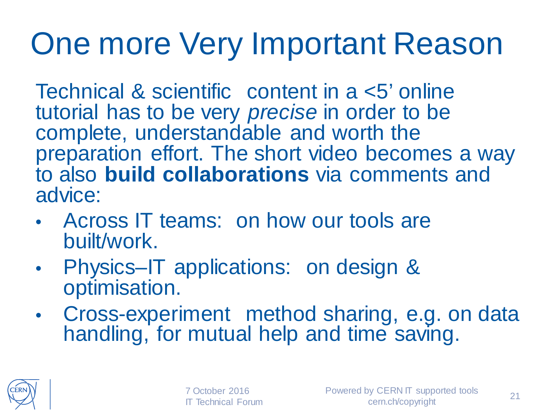#### One more Very Important Reason

Technical & scientific content in a <5' online tutorial has to be very *precise* in order to be complete, understandable and worth the preparation effort. The short video becomes a way to also **build collaborations** via comments and advice:

- Across IT teams: on how our tools are built/work.
- Physics–IT applications: on design & optimisation.
- Cross-experiment method sharing, e.g. on data handling, for mutual help and time saving.

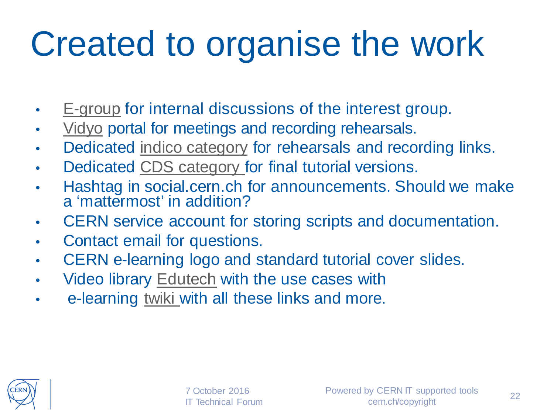## Created to organise the work

- [E-group](https://e-groups.cern.ch/e-groups/Egroup.do?egroupId=10194791) for internal discussions of the interest group.
- [Vidyo](https://vidyoportal.cern.ch/flex.html?roomdirect.html&key=3ERf9H8CfnBCOUj6BaXrE1euJE) portal for meetings and recording rehearsals.
- Dedicated [indico category](https://indico.cern.ch/category/7442/) for rehearsals and recording links.
- Dedicated [CDS category f](http://cds.cern.ch/collection/E-learning%20modules?ln=en)or final tutorial versions.
- Hashtag in social.cern.ch for announcements. Should we make a 'mattermost' in addition?
- CERN service account for storing scripts and documentation.
- Contact email for questions.
- CERN e-learning logo and standard tutorial cover slides.
- Video library [Edutech](https://twiki.cern.ch/Edutech) with the use cases with
- e-learning [twiki w](https://twiki.cern.ch/ELearning)ith all these links and more.

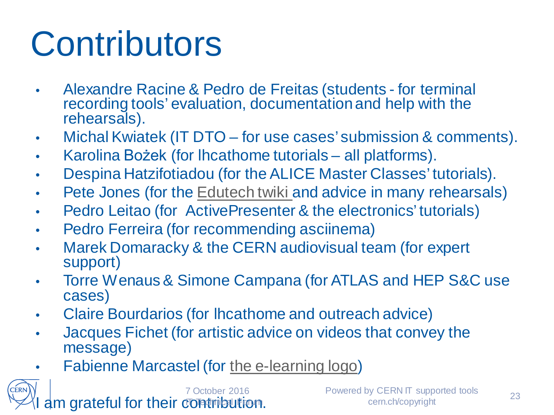## **Contributors**

- Alexandre Racine & Pedro de Freitas (students for terminal recording tools' evaluation, documentation and help with the rehearsals).
- Michal Kwiatek (IT DTO for use cases' submission & comments).
- Karolina Bożek (for lhcathome tutorials all platforms).
- Despina Hatzifotiadou (for the ALICE Master Classes' tutorials).
- Pete Jones (for the [Edutech twiki a](https://twiki.cern.ch/Edutech)nd advice in many rehearsals)
- Pedro Leitao (for ActivePresenter & the electronics' tutorials)
- Pedro Ferreira (for recommending asciinema)
- Marek Domaracky & the CERN audiovisual team (for expert support)
- Torre Wenaus& Simone Campana (for ATLAS and HEP S&C use cases)
- Claire Bourdarios (for lhcathome and outreach advice)
- Jacques Fichet (for artistic advice on videos that convey the message)
- Fabienne Marcastel (for [the e-learning logo\)](https://twiki.cern.ch/twiki/pub/ELearning/WebHome/CERNelearning-logo.png)

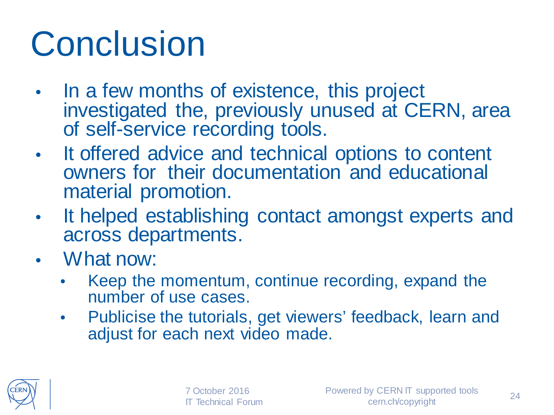### **Conclusion**

- In a few months of existence, this project investigated the, previously unused at CERN, area of self-service recording tools.
- It offered advice and technical options to content owners for their documentation and educational material promotion.
- It helped establishing contact amongst experts and across departments.
- What now:
	- Keep the momentum, continue recording, expand the number of use cases.
	- Publicise the tutorials, get viewers' feedback, learn and adjust for each next video made.

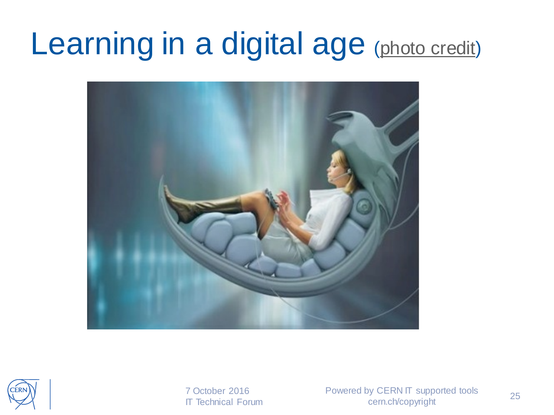#### Learning in a digital age ([photo credit\)](http://wiki.lib.sun.ac.za/images/f/f3/Teaching-in-a-digital-age.pdf)





7 October 2016 IT Technical Forum Powered by CERN IT supported tools cern.ch/copyright 25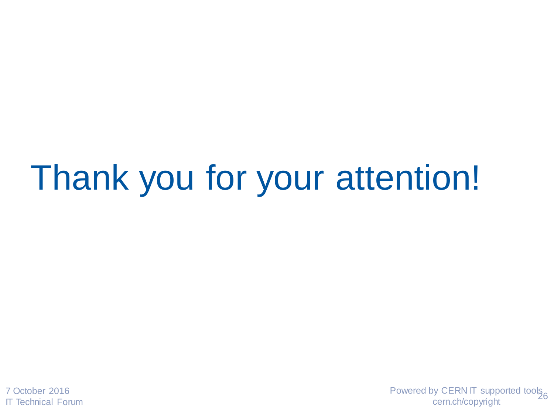#### Thank you for your attention!

7 October 2016 IT Technical Forum Powered by CERN IT supported tools<br>cern.ch/copyright